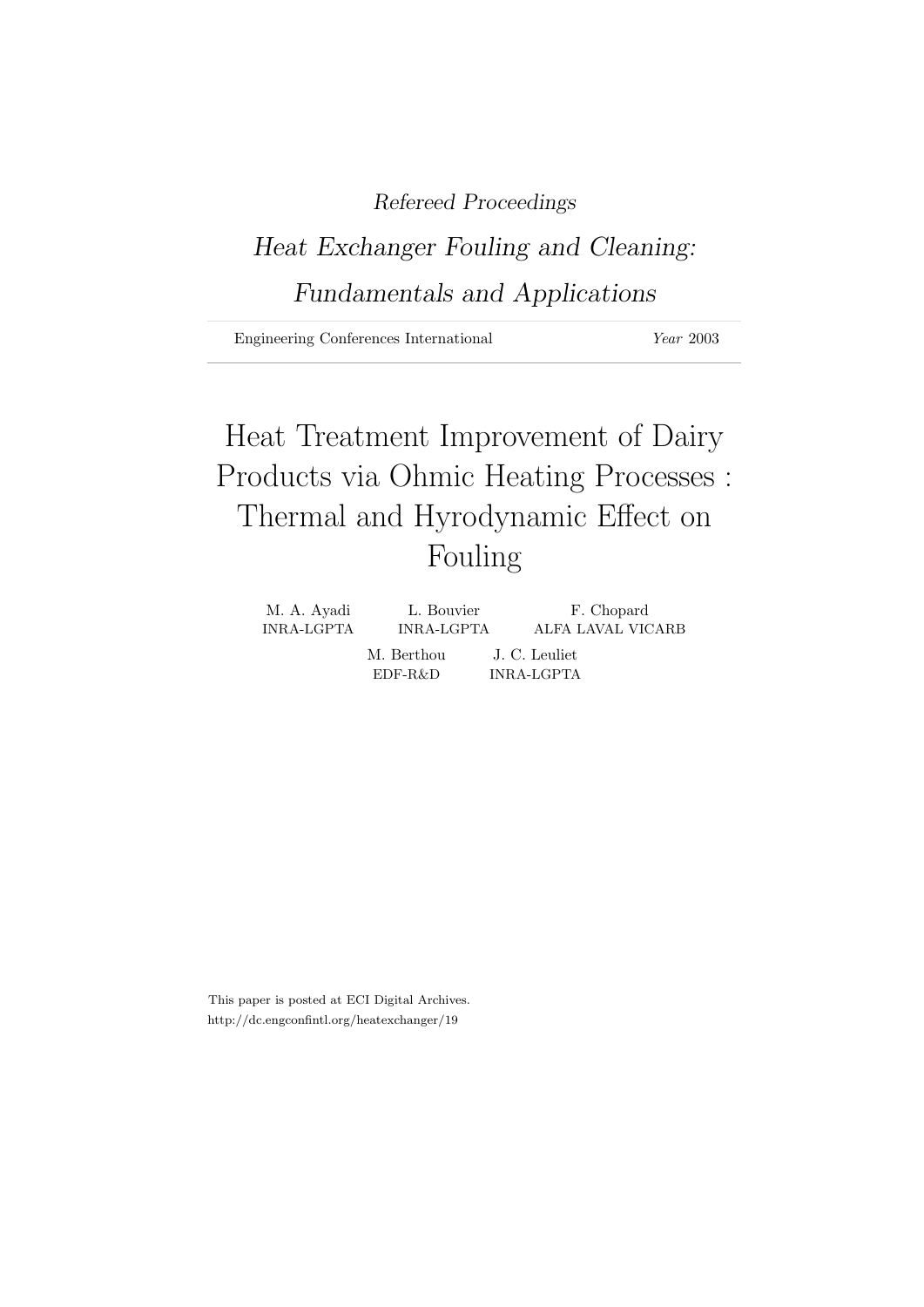## Refereed Proceedings

# Heat Exchanger Fouling and Cleaning: Fundamentals and Applications

Engineering Conferences International Year 2003

# Heat Treatment Improvement of Dairy Products via Ohmic Heating Processes : Thermal and Hyrodynamic Effect on Fouling

| M. A. Ayadi | L. Bouvier               | F. Chopard                  |
|-------------|--------------------------|-----------------------------|
| INRA-LGPTA  | INRA-LGPTA               | ALFA LAVAL VICARB           |
|             | M. Berthou<br>$EDF-R\&D$ | J. C. Leuliet<br>INRA-LGPTA |

This paper is posted at ECI Digital Archives. http://dc.engconfintl.org/heatexchanger/19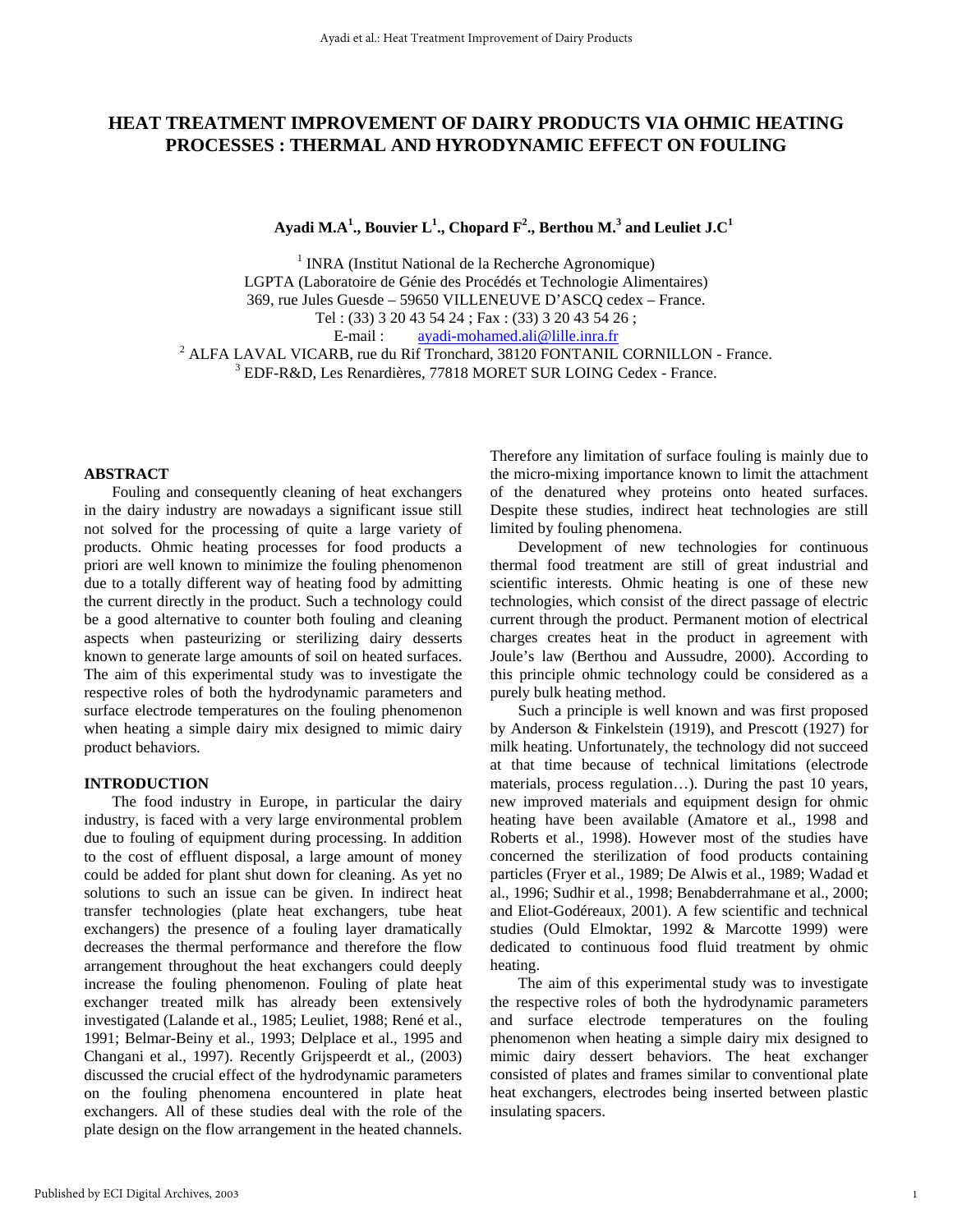### **HEAT TREATMENT IMPROVEMENT OF DAIRY PRODUCTS VIA OHMIC HEATING PROCESSES : THERMAL AND HYRODYNAMIC EFFECT ON FOULING**

 $\bold{A}$ yadi M.A $^1$ ., Bouvier  $\bold{L}^1$ ., Chopard  $\bold{F}^2$ ., Berthou M. $^3$  and Leuliet J.C $^1$ 

<sup>1</sup> INRA (Institut National de la Recherche Agronomique) LGPTA (Laboratoire de Génie des Procédés et Technologie Alimentaires) 369, rue Jules Guesde – 59650 VILLENEUVE D'ASCQ cedex – France. Tel : (33) 3 20 43 54 24 ; Fax : (33) 3 20 43 54 26 ; E-mail : ayadi-mohamed.ali@lille.inra.fr

<sup>2</sup> ALFA LAVAL VICARB, rue du Rif Tronchard, 38120 FONTANIL CORNILLON - France. EDF-R&D, Les Renardières, 77818 MORET SUR LOING Cedex - France.

### **ABSTRACT**

 Fouling and consequently cleaning of heat exchangers in the dairy industry are nowadays a significant issue still not solved for the processing of quite a large variety of products. Ohmic heating processes for food products a priori are well known to minimize the fouling phenomenon due to a totally different way of heating food by admitting the current directly in the product. Such a technology could be a good alternative to counter both fouling and cleaning aspects when pasteurizing or sterilizing dairy desserts known to generate large amounts of soil on heated surfaces. The aim of this experimental study was to investigate the respective roles of both the hydrodynamic parameters and surface electrode temperatures on the fouling phenomenon when heating a simple dairy mix designed to mimic dairy product behaviors.

#### **INTRODUCTION**

The food industry in Europe, in particular the dairy industry, is faced with a very large environmental problem due to fouling of equipment during processing. In addition to the cost of effluent disposal, a large amount of money could be added for plant shut down for cleaning. As yet no solutions to such an issue can be given. In indirect heat transfer technologies (plate heat exchangers, tube heat exchangers) the presence of a fouling layer dramatically decreases the thermal performance and therefore the flow arrangement throughout the heat exchangers could deeply increase the fouling phenomenon. Fouling of plate heat exchanger treated milk has already been extensively investigated (Lalande et al., 1985; Leuliet, 1988; René et al., 1991; Belmar-Beiny et al., 1993; Delplace et al., 1995 and Changani et al., 1997). Recently Grijspeerdt et al., (2003) discussed the crucial effect of the hydrodynamic parameters on the fouling phenomena encountered in plate heat exchangers. All of these studies deal with the role of the plate design on the flow arrangement in the heated channels.

Therefore any limitation of surface fouling is mainly due to the micro-mixing importance known to limit the attachment of the denatured whey proteins onto heated surfaces. Despite these studies, indirect heat technologies are still limited by fouling phenomena.

Development of new technologies for continuous thermal food treatment are still of great industrial and scientific interests. Ohmic heating is one of these new technologies, which consist of the direct passage of electric current through the product. Permanent motion of electrical charges creates heat in the product in agreement with Joule's law (Berthou and Aussudre, 2000). According to this principle ohmic technology could be considered as a purely bulk heating method.

Such a principle is well known and was first proposed by Anderson & Finkelstein (1919), and Prescott (1927) for milk heating. Unfortunately, the technology did not succeed at that time because of technical limitations (electrode materials, process regulation…). During the past 10 years, new improved materials and equipment design for ohmic heating have been available (Amatore et al., 1998 and Roberts et al., 1998). However most of the studies have concerned the sterilization of food products containing particles (Fryer et al., 1989; De Alwis et al., 1989; Wadad et al., 1996; Sudhir et al., 1998; Benabderrahmane et al., 2000; and Eliot-Godéreaux, 2001). A few scientific and technical studies (Ould Elmoktar, 1992 & Marcotte 1999) were dedicated to continuous food fluid treatment by ohmic heating.

The aim of this experimental study was to investigate the respective roles of both the hydrodynamic parameters and surface electrode temperatures on the fouling phenomenon when heating a simple dairy mix designed to mimic dairy dessert behaviors. The heat exchanger consisted of plates and frames similar to conventional plate heat exchangers, electrodes being inserted between plastic insulating spacers.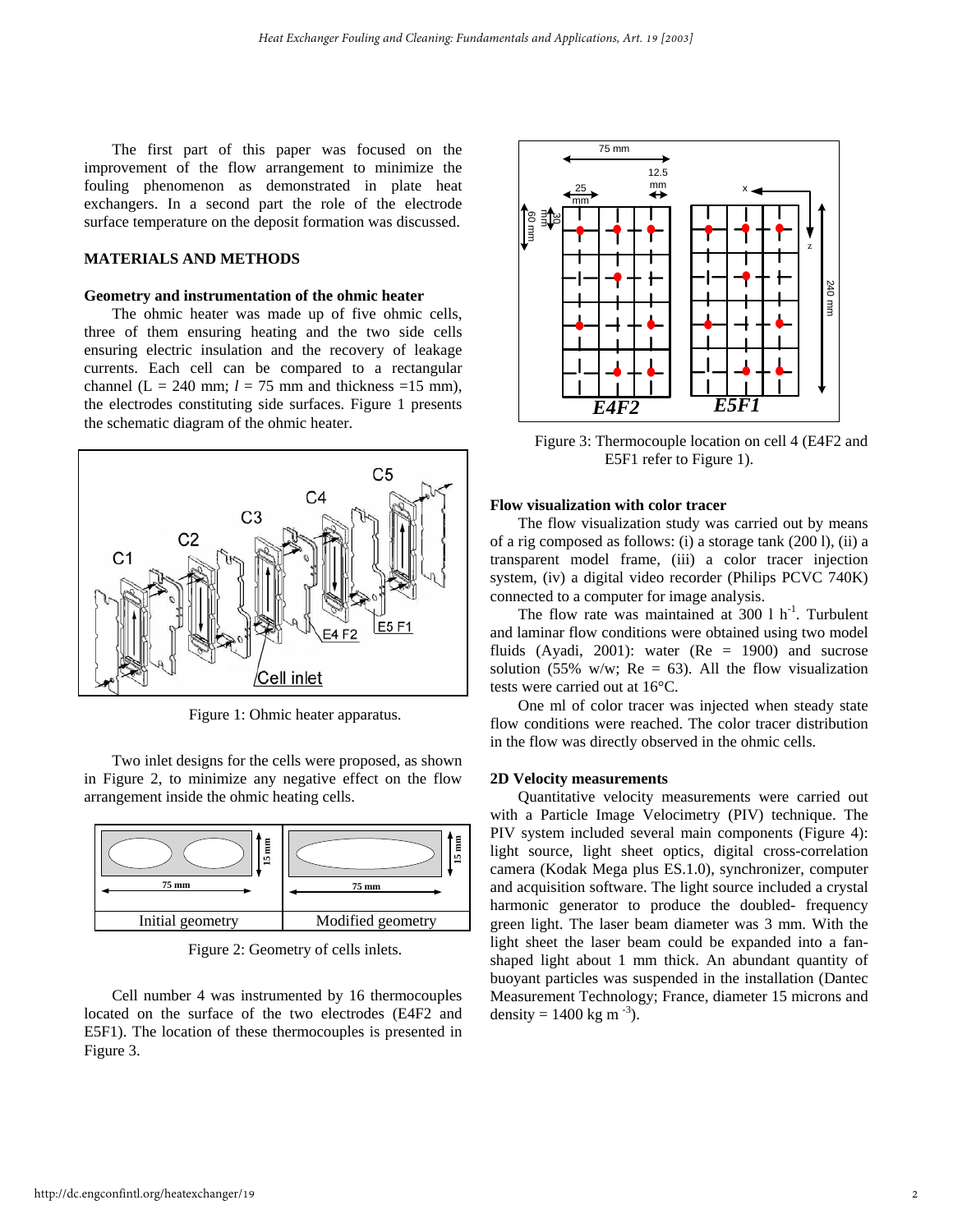The first part of this paper was focused on the improvement of the flow arrangement to minimize the fouling phenomenon as demonstrated in plate heat exchangers. In a second part the role of the electrode surface temperature on the deposit formation was discussed.

#### **MATERIALS AND METHODS**

#### **Geometry and instrumentation of the ohmic heater**

The ohmic heater was made up of five ohmic cells, three of them ensuring heating and the two side cells ensuring electric insulation and the recovery of leakage currents. Each cell can be compared to a rectangular channel (L = 240 mm;  $l = 75$  mm and thickness =15 mm), the electrodes constituting side surfaces. Figure 1 presents the schematic diagram of the ohmic heater.



Figure 1: Ohmic heater apparatus.

Two inlet designs for the cells were proposed, as shown in Figure 2, to minimize any negative effect on the flow arrangement inside the ohmic heating cells.



Figure 2: Geometry of cells inlets.

Cell number 4 was instrumented by 16 thermocouples located on the surface of the two electrodes (E4F2 and E5F1). The location of these thermocouples is presented in Figure 3.



Figure 3: Thermocouple location on cell 4 (E4F2 and E5F1 refer to Figure 1).

### **Flow visualization with color tracer**

The flow visualization study was carried out by means of a rig composed as follows: (i) a storage tank (200 l), (ii) a transparent model frame, (iii) a color tracer injection system, (iv) a digital video recorder (Philips PCVC 740K) connected to a computer for image analysis.

The flow rate was maintained at  $300 \, 1 \, \text{h}^{-1}$ . Turbulent and laminar flow conditions were obtained using two model fluids (Ayadi, 2001): water ( $Re = 1900$ ) and sucrose solution (55% w/w;  $Re = 63$ ). All the flow visualization tests were carried out at 16°C.

One ml of color tracer was injected when steady state flow conditions were reached. The color tracer distribution in the flow was directly observed in the ohmic cells.

#### **2D Velocity measurements**

Quantitative velocity measurements were carried out with a Particle Image Velocimetry (PIV) technique. The PIV system included several main components (Figure 4): light source, light sheet optics, digital cross-correlation camera (Kodak Mega plus ES.1.0), synchronizer, computer and acquisition software. The light source included a crystal harmonic generator to produce the doubled- frequency green light. The laser beam diameter was 3 mm. With the light sheet the laser beam could be expanded into a fanshaped light about 1 mm thick. An abundant quantity of buoyant particles was suspended in the installation (Dantec Measurement Technology; France, diameter 15 microns and density = 1400 kg m<sup>-3</sup>).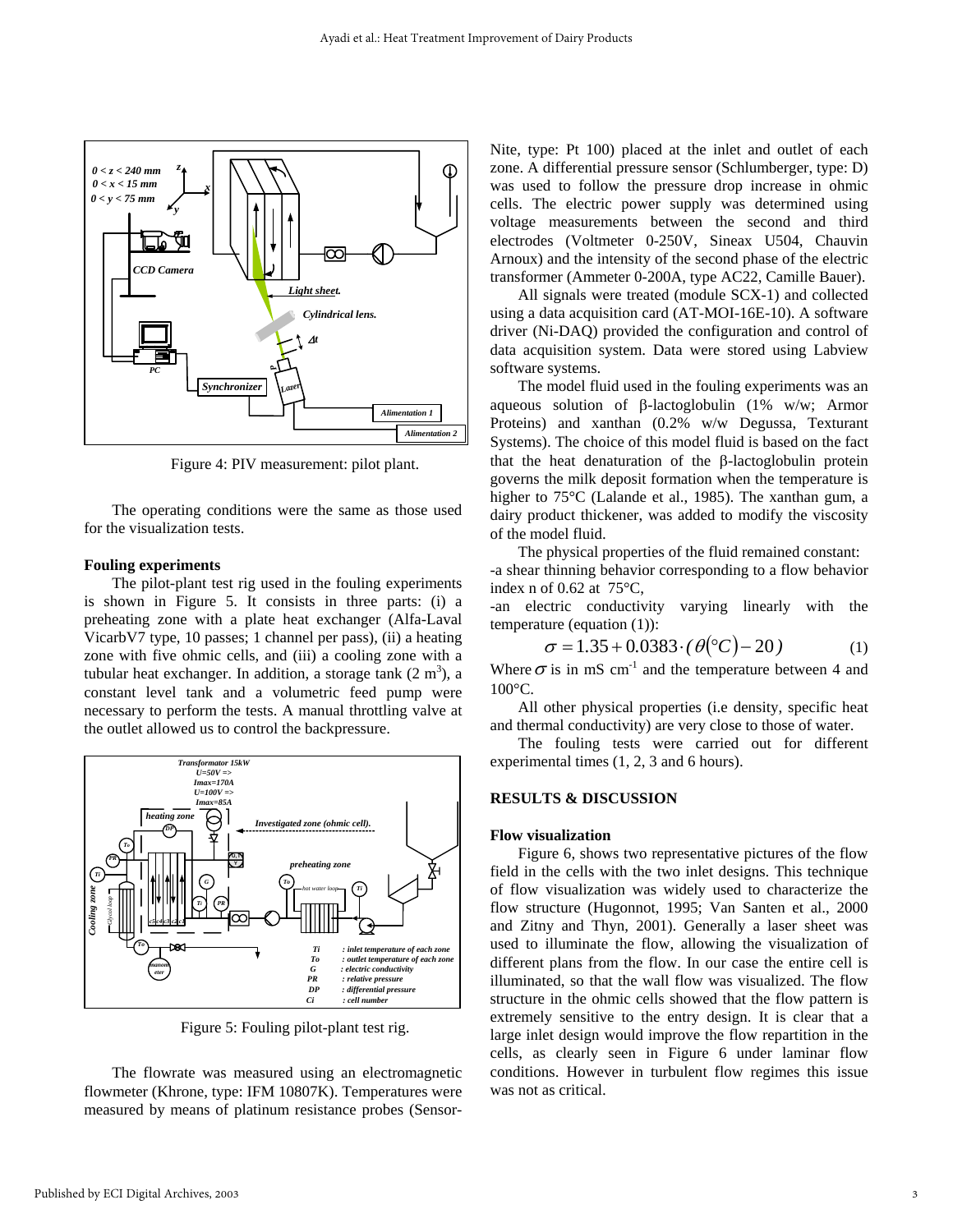

Figure 4: PIV measurement: pilot plant.

The operating conditions were the same as those used for the visualization tests.

#### **Fouling experiments**

The pilot-plant test rig used in the fouling experiments is shown in Figure 5. It consists in three parts: (i) a preheating zone with a plate heat exchanger (Alfa-Laval VicarbV7 type, 10 passes; 1 channel per pass), (ii) a heating zone with five ohmic cells, and (iii) a cooling zone with a tubular heat exchanger. In addition, a storage tank  $(2 \text{ m}^3)$ , a constant level tank and a volumetric feed pump were necessary to perform the tests. A manual throttling valve at the outlet allowed us to control the backpressure.



Figure 5: Fouling pilot-plant test rig.

The flowrate was measured using an electromagnetic flowmeter (Khrone, type: IFM 10807K). Temperatures were measured by means of platinum resistance probes (SensorNite, type: Pt 100) placed at the inlet and outlet of each zone. A differential pressure sensor (Schlumberger, type: D) was used to follow the pressure drop increase in ohmic cells. The electric power supply was determined using voltage measurements between the second and third electrodes (Voltmeter 0-250V, Sineax U504, Chauvin Arnoux) and the intensity of the second phase of the electric transformer (Ammeter 0-200A, type AC22, Camille Bauer).

All signals were treated (module SCX-1) and collected using a data acquisition card (AT-MOI-16E-10). A software driver (Ni-DAQ) provided the configuration and control of data acquisition system. Data were stored using Labview software systems.

The model fluid used in the fouling experiments was an aqueous solution of β-lactoglobulin (1% w/w; Armor Proteins) and xanthan (0.2% w/w Degussa, Texturant Systems). The choice of this model fluid is based on the fact that the heat denaturation of the β-lactoglobulin protein governs the milk deposit formation when the temperature is higher to 75<sup>o</sup>C (Lalande et al., 1985). The xanthan gum, a dairy product thickener, was added to modify the viscosity of the model fluid.

The physical properties of the fluid remained constant: -a shear thinning behavior corresponding to a flow behavior index n of 0.62 at  $75^{\circ}$ C,

-an electric conductivity varying linearly with the temperature (equation (1)):

$$
\sigma = 1.35 + 0.0383 \cdot (\theta^{\circ}C) - 20)
$$
 (1)

Where  $\sigma$  is in mS cm<sup>-1</sup> and the temperature between 4 and 100°C.

All other physical properties (i.e density, specific heat and thermal conductivity) are very close to those of water.

The fouling tests were carried out for different experimental times (1, 2, 3 and 6 hours).

#### **RESULTS & DISCUSSION**

#### **Flow visualization**

Figure 6, shows two representative pictures of the flow field in the cells with the two inlet designs. This technique of flow visualization was widely used to characterize the flow structure (Hugonnot, 1995; Van Santen et al., 2000 and Zitny and Thyn, 2001). Generally a laser sheet was used to illuminate the flow, allowing the visualization of different plans from the flow. In our case the entire cell is illuminated, so that the wall flow was visualized. The flow structure in the ohmic cells showed that the flow pattern is extremely sensitive to the entry design. It is clear that a large inlet design would improve the flow repartition in the cells, as clearly seen in Figure 6 under laminar flow conditions. However in turbulent flow regimes this issue was not as critical.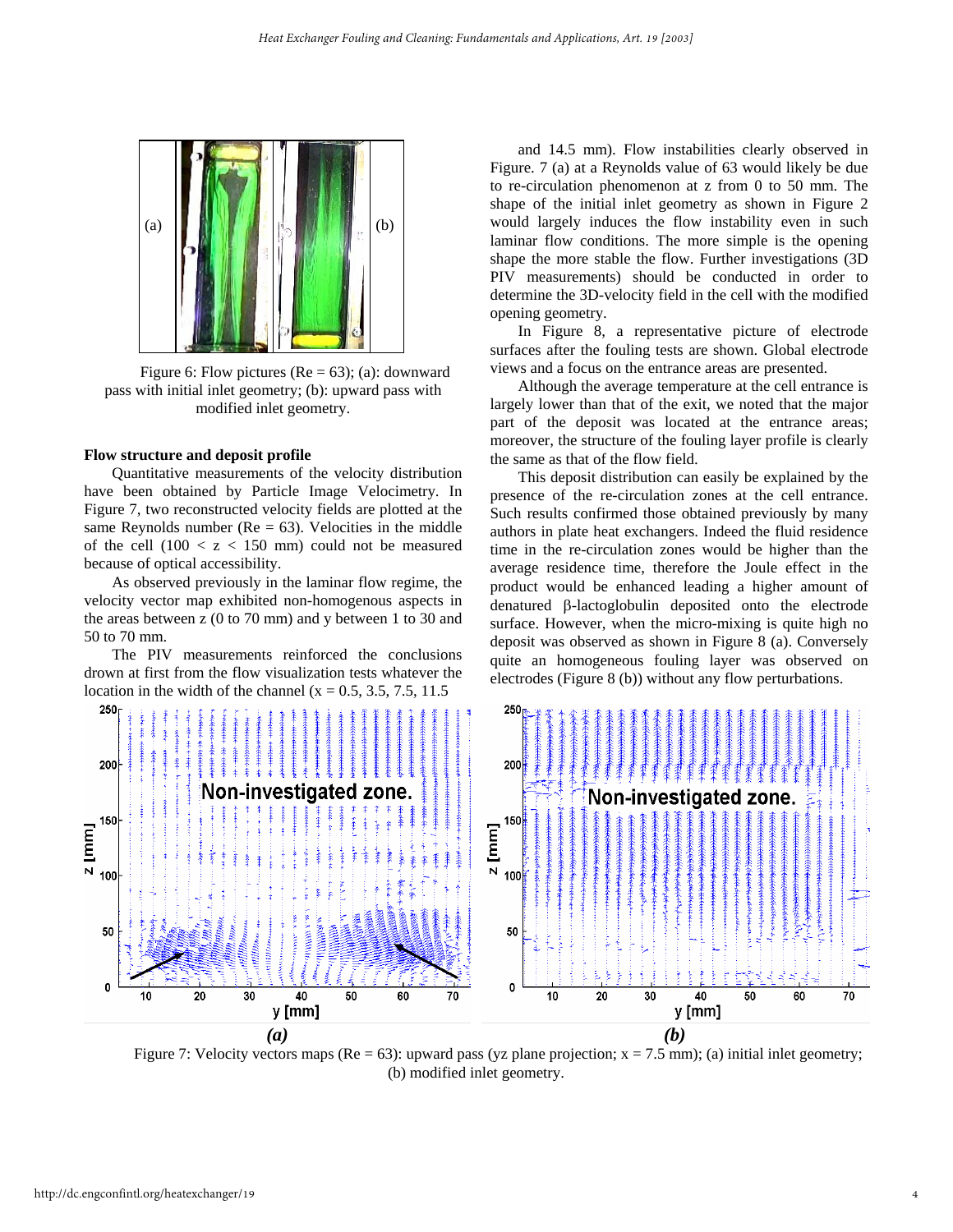

pass with initial inlet geometry; (b): upward pass with modified inlet geometry.

Quantitative measurements of the velocity distribution have been obtained by Particle Image Velocimetry. In Figure 7, two reconstructed velocity fields are plotted at the same Reynolds number ( $Re = 63$ ). Velocities in the middle of the cell  $(100 < z < 150$  mm) could not be measured because of optical accessibility.

As observed previously in the laminar flow regime, the velocity vector map exhibited non-homogenous aspects in the areas between z (0 to 70 mm) and y between 1 to 30 and 50 to 70 mm.

The PIV measurements reinforced the conclusions drown at first from the flow visualization tests whatever the location in the width of the channel ( $x = 0.5, 3.5, 7.5, 11.5$ )

and 14.5 mm). Flow instabilities clearly observed in Figure. 7 (a) at a Reynolds value of 63 would likely be due to re-circulation phenomenon at z from 0 to 50 mm. The shape of the initial inlet geometry as shown in Figure 2 would largely induces the flow instability even in such laminar flow conditions. The more simple is the opening shape the more stable the flow. Further investigations (3D PIV measurements) should be conducted in order to determine the 3D-velocity field in the cell with the modified opening geometry.

In Figure 8, a representative picture of electrode surfaces after the fouling tests are shown. Global electrode Figure 6: Flow pictures ( $Re = 63$ ); (a): downward views and a focus on the entrance areas are presented.

Although the average temperature at the cell entrance is largely lower than that of the exit, we noted that the major part of the deposit was located at the entrance areas; moreover, the structure of the fouling layer profile is clearly **Flow structure and deposit profile** the same as that of the flow field.

> This deposit distribution can easily be explained by the presence of the re-circulation zones at the cell entrance. Such results confirmed those obtained previously by many authors in plate heat exchangers. Indeed the fluid residence time in the re-circulation zones would be higher than the average residence time, therefore the Joule effect in the product would be enhanced leading a higher amount of denatured β-lactoglobulin deposited onto the electrode surface. However, when the micro-mixing is quite high no deposit was observed as shown in Figure 8 (a). Conversely quite an homogeneous fouling layer was observed on electrodes (Figure 8 (b)) without any flow perturbations.



Figure 7: Velocity vectors maps (Re = 63): upward pass (yz plane projection;  $x = 7.5$  mm); (a) initial inlet geometry; (b) modified inlet geometry.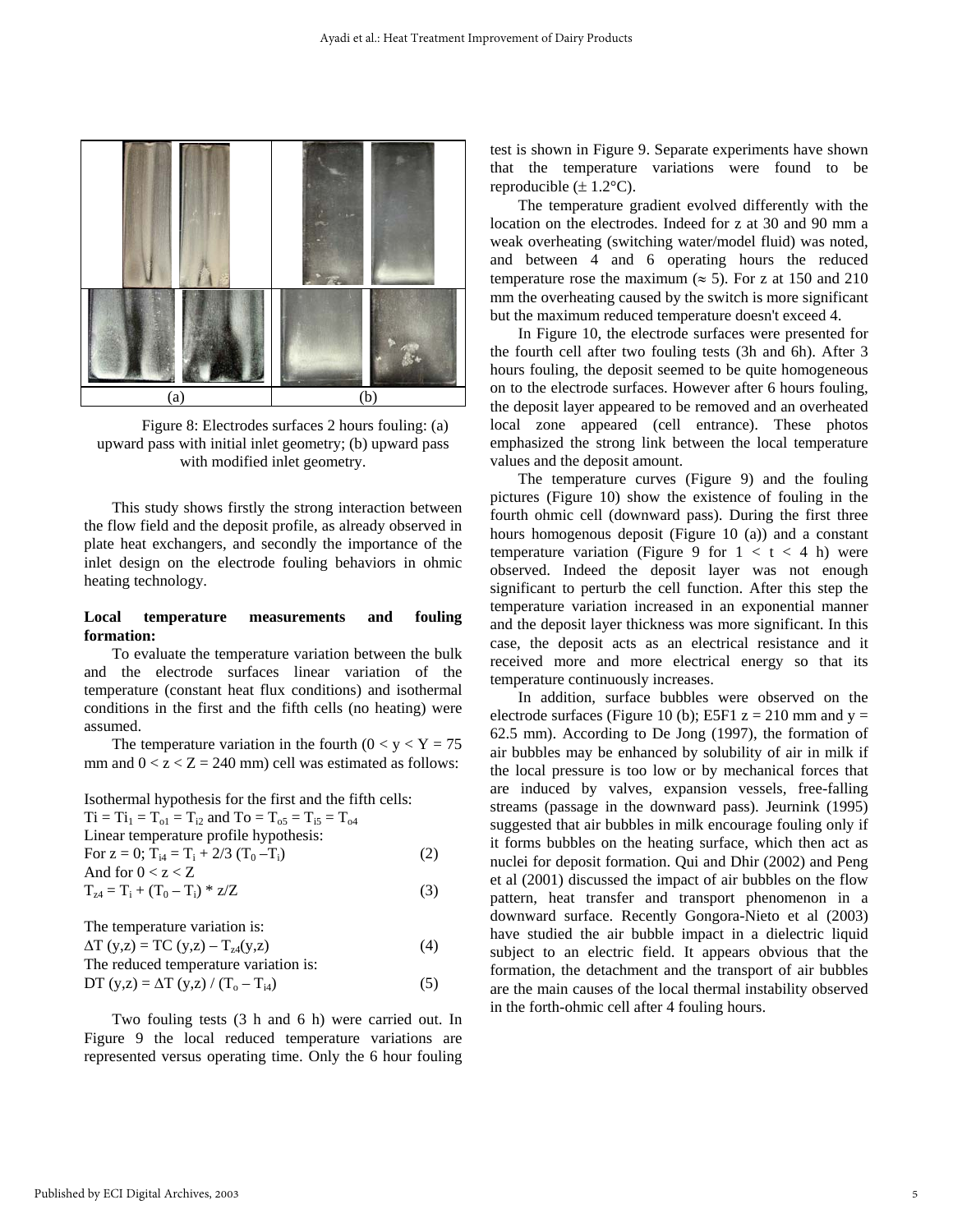

Figure 8: Electrodes surfaces 2 hours fouling: (a) upward pass with initial inlet geometry; (b) upward pass with modified inlet geometry.

This study shows firstly the strong interaction between the flow field and the deposit profile, as already observed in plate heat exchangers, and secondly the importance of the inlet design on the electrode fouling behaviors in ohmic heating technology.

#### **Local temperature measurements and fouling formation:**

To evaluate the temperature variation between the bulk and the electrode surfaces linear variation of the temperature (constant heat flux conditions) and isothermal conditions in the first and the fifth cells (no heating) were assumed.

The temperature variation in the fourth  $(0 < y < Y = 75$ mm and  $0 < z < Z = 240$  mm) cell was estimated as follows:

Isothermal hypothesis for the first and the fifth cells:

| $Ti = Ti_1 = T_{01} = T_{i2}$ and $To = T_{05} = T_{i5} = T_{04}$ |     |
|-------------------------------------------------------------------|-----|
| Linear temperature profile hypothesis:                            |     |
| For $z = 0$ ; $T_{i4} = T_i + 2/3$ $(T_0 - T_i)$                  | (2) |
| And for $0 < z < Z$                                               |     |
| $T_{z4} = T_i + (T_0 - T_i) * z/Z$                                | (3) |
|                                                                   |     |

The temperature variation is:  $\Delta T (y, z) = TC (y, z) - T_{z4}(y, z)$  (4) The reduced temperature variation is: DT (y,z) =  $\Delta T$  (y,z) / (T<sub>o</sub> – T<sub>i4</sub>) (5)

Two fouling tests (3 h and 6 h) were carried out. In Figure 9 the local reduced temperature variations are represented versus operating time. Only the 6 hour fouling test is shown in Figure 9. Separate experiments have shown that the temperature variations were found to be reproducible  $(\pm 1.2^{\circ}C)$ .

The temperature gradient evolved differently with the location on the electrodes. Indeed for z at 30 and 90 mm a weak overheating (switching water/model fluid) was noted, and between 4 and 6 operating hours the reduced temperature rose the maximum ( $\approx$  5). For z at 150 and 210 mm the overheating caused by the switch is more significant but the maximum reduced temperature doesn't exceed 4.

In Figure 10, the electrode surfaces were presented for the fourth cell after two fouling tests (3h and 6h). After 3 hours fouling, the deposit seemed to be quite homogeneous on to the electrode surfaces. However after 6 hours fouling, the deposit layer appeared to be removed and an overheated local zone appeared (cell entrance). These photos emphasized the strong link between the local temperature values and the deposit amount.

The temperature curves (Figure 9) and the fouling pictures (Figure 10) show the existence of fouling in the fourth ohmic cell (downward pass). During the first three hours homogenous deposit (Figure 10 (a)) and a constant temperature variation (Figure 9 for  $1 < t < 4$  h) were observed. Indeed the deposit layer was not enough significant to perturb the cell function. After this step the temperature variation increased in an exponential manner and the deposit layer thickness was more significant. In this case, the deposit acts as an electrical resistance and it received more and more electrical energy so that its temperature continuously increases.

In addition, surface bubbles were observed on the electrode surfaces (Figure 10 (b); E5F1  $z = 210$  mm and  $y =$ 62.5 mm). According to De Jong (1997), the formation of air bubbles may be enhanced by solubility of air in milk if the local pressure is too low or by mechanical forces that are induced by valves, expansion vessels, free-falling streams (passage in the downward pass). Jeurnink (1995) suggested that air bubbles in milk encourage fouling only if it forms bubbles on the heating surface, which then act as nuclei for deposit formation. Qui and Dhir (2002) and Peng et al (2001) discussed the impact of air bubbles on the flow pattern, heat transfer and transport phenomenon in a downward surface. Recently Gongora-Nieto et al (2003) have studied the air bubble impact in a dielectric liquid subject to an electric field. It appears obvious that the formation, the detachment and the transport of air bubbles are the main causes of the local thermal instability observed in the forth-ohmic cell after 4 fouling hours.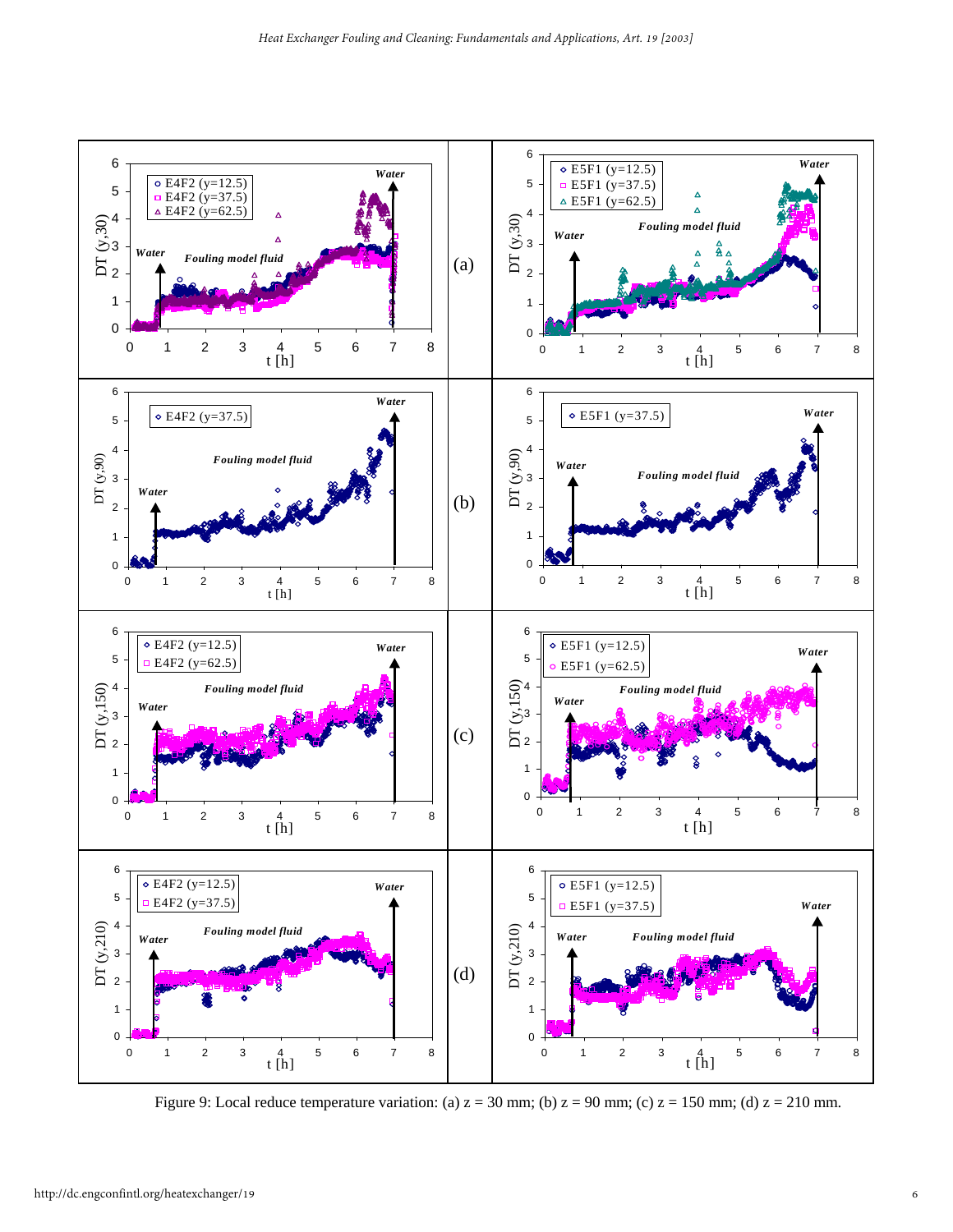

Figure 9: Local reduce temperature variation: (a)  $z = 30$  mm; (b)  $z = 90$  mm; (c)  $z = 150$  mm; (d)  $z = 210$  mm.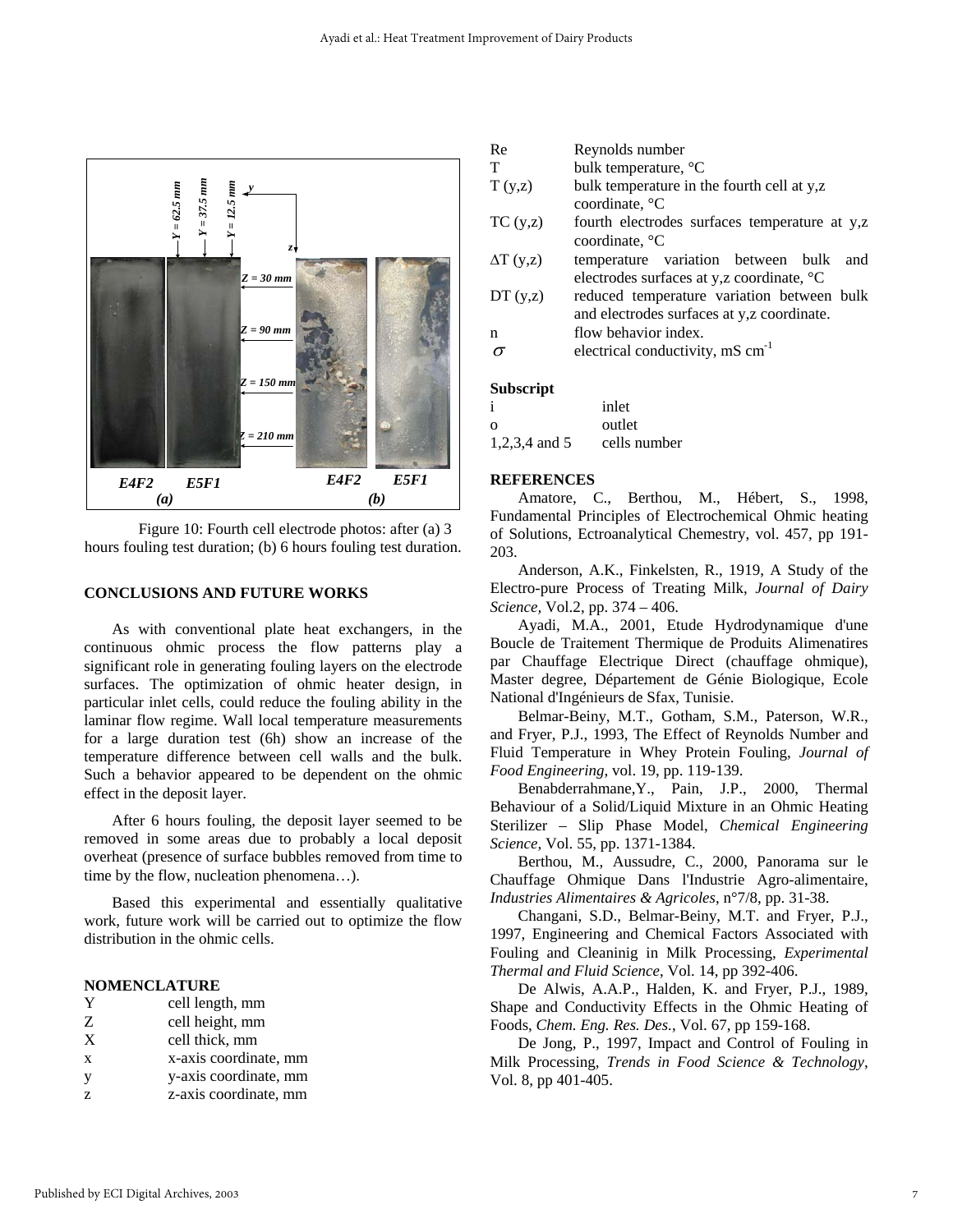



#### **CONCLUSIONS AND FUTURE WORKS**

 As with conventional plate heat exchangers, in the continuous ohmic process the flow patterns play a significant role in generating fouling layers on the electrode surfaces. The optimization of ohmic heater design, in particular inlet cells, could reduce the fouling ability in the laminar flow regime. Wall local temperature measurements for a large duration test (6h) show an increase of the temperature difference between cell walls and the bulk. Such a behavior appeared to be dependent on the ohmic effect in the deposit layer.

After 6 hours fouling, the deposit layer seemed to be removed in some areas due to probably a local deposit overheat (presence of surface bubbles removed from time to time by the flow, nucleation phenomena…).

 Based this experimental and essentially qualitative work, future work will be carried out to optimize the flow distribution in the ohmic cells.

#### **NOMENCLATURE**

- Z cell height, mm
- X cell thick, mm
- x x-axis coordinate, mm
- y y-axis coordinate, mm
- z z-axis coordinate, mm

| Re | Reynolds number |
|----|-----------------|
|----|-----------------|

- T bulk temperature,  ${}^{\circ}C$
- T (y,z) bulk temperature in the fourth cell at y,z coordinate, °C
- TC (y,z) fourth electrodes surfaces temperature at y,z coordinate, °C
- ∆T (y,z) temperature variation between bulk and electrodes surfaces at y,z coordinate, °C
- DT (y,z) reduced temperature variation between bulk and electrodes surfaces at y,z coordinate.
- n flow behavior index.
- $\sigma$  electrical conductivity, mS cm<sup>-1</sup>

#### **Subscript**

| ٠             | inlet        |
|---------------|--------------|
| റ             | outlet       |
| 1,2,3,4 and 5 | cells number |

#### **REFERENCES**

 Amatore, C., Berthou, M., Hébert, S., 1998, Fundamental Principles of Electrochemical Ohmic heating of Solutions, Ectroanalytical Chemestry, vol. 457, pp 191- 203.

 Anderson, A.K., Finkelsten, R., 1919, A Study of the Electro-pure Process of Treating Milk, *Journal of Dairy Science,* Vol.2, pp. 374 – 406.

 Ayadi, M.A., 2001, Etude Hydrodynamique d'une Boucle de Traitement Thermique de Produits Alimenatires par Chauffage Electrique Direct (chauffage ohmique), Master degree, Département de Génie Biologique, Ecole National d'Ingénieurs de Sfax, Tunisie.

 Belmar-Beiny, M.T., Gotham, S.M., Paterson, W.R., and Fryer, P.J., 1993, The Effect of Reynolds Number and Fluid Temperature in Whey Protein Fouling, *Journal of Food Engineering*, vol. 19, pp. 119-139.

 Benabderrahmane,Y., Pain, J.P., 2000, Thermal Behaviour of a Solid/Liquid Mixture in an Ohmic Heating Sterilizer – Slip Phase Model, *Chemical Engineering Science,* Vol. 55, pp. 1371-1384.

 Berthou, M., Aussudre, C., 2000, Panorama sur le Chauffage Ohmique Dans l'Industrie Agro-alimentaire, *Industries Alimentaires & Agricoles*, n°7/8, pp. 31-38.

Changani, S.D., Belmar-Beiny, M.T. and Fryer, P.J., 1997, Engineering and Chemical Factors Associated with Fouling and Cleaninig in Milk Processing, *Experimental Thermal and Fluid Science*, Vol. 14, pp 392-406.

 De Alwis, A.A.P., Halden, K. and Fryer, P.J., 1989, Shape and Conductivity Effects in the Ohmic Heating of Foods, *Chem. Eng. Res. Des.*, Vol. 67, pp 159-168.

De Jong, P., 1997, Impact and Control of Fouling in Milk Processing, *Trends in Food Science & Technology*, Vol. 8, pp 401-405.